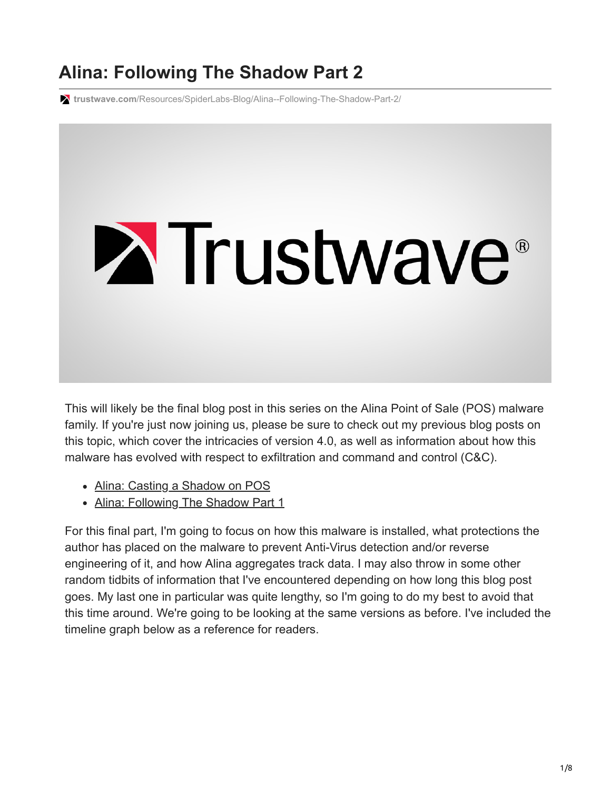# **Alina: Following The Shadow Part 2**

**trustwave.com**[/Resources/SpiderLabs-Blog/Alina--Following-The-Shadow-Part-2/](https://www.trustwave.com/Resources/SpiderLabs-Blog/Alina--Following-The-Shadow-Part-2/)



This will likely be the final blog post in this series on the Alina Point of Sale (POS) malware family. If you're just now joining us, please be sure to check out my previous blog posts on this topic, which cover the intricacies of version 4.0, as well as information about how this malware has evolved with respect to exfiltration and command and control (C&C).

- [Alina: Casting a Shadow on POS](http://blog.spiderlabs.com/2013/05/alina-shedding-some-light-on-this-malware-family.html)
- [Alina: Following The Shadow Part 1](http://blog.spiderlabs.com/2013/05/alina-following-the-shadow-part-1.html)

For this final part, I'm going to focus on how this malware is installed, what protections the author has placed on the malware to prevent Anti-Virus detection and/or reverse engineering of it, and how Alina aggregates track data. I may also throw in some other random tidbits of information that I've encountered depending on how long this blog post goes. My last one in particular was quite lengthy, so I'm going to do my best to avoid that this time around. We're going to be looking at the same versions as before. I've included the timeline graph below as a reference for readers.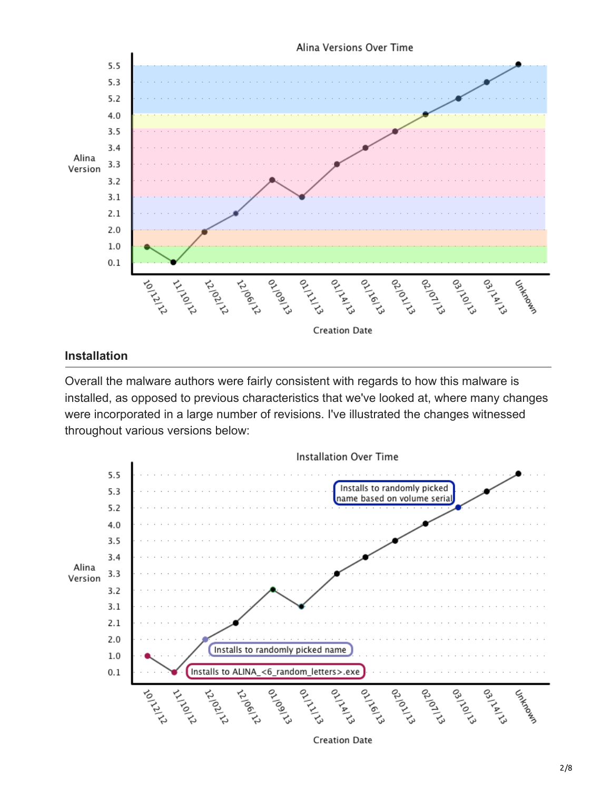

#### **Installation**

Overall the malware authors were fairly consistent with regards to how this malware is installed, as opposed to previous characteristics that we've looked at, where many changes were incorporated in a large number of revisions. I've illustrated the changes witnessed throughout various versions below:



**Creation Date**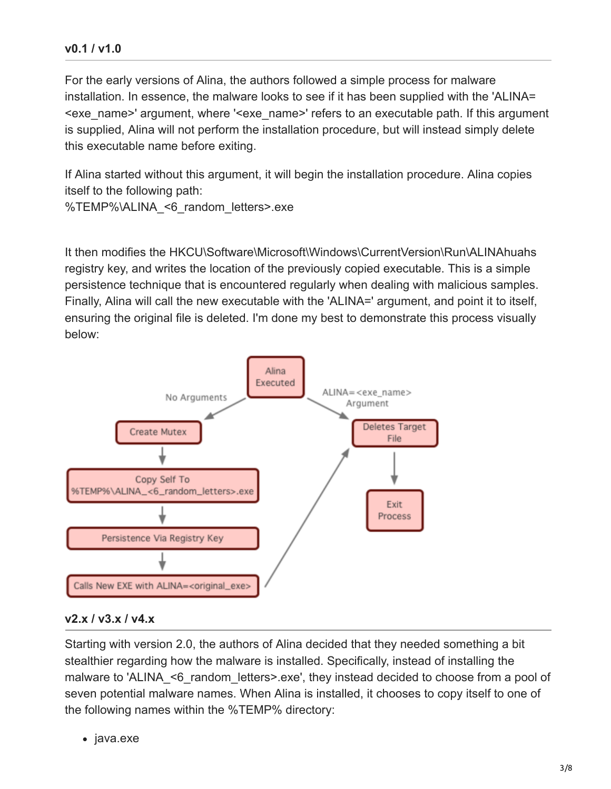#### **v0.1 / v1.0**

For the early versions of Alina, the authors followed a simple process for malware installation. In essence, the malware looks to see if it has been supplied with the 'ALINA= <exe\_name>' argument, where '<exe\_name>' refers to an executable path. If this argument is supplied, Alina will not perform the installation procedure, but will instead simply delete this executable name before exiting.

If Alina started without this argument, it will begin the installation procedure. Alina copies itself to the following path:

%TEMP%\ALINA <6 random letters>.exe

It then modifies the HKCU\Software\Microsoft\Windows\CurrentVersion\Run\ALINAhuahs registry key, and writes the location of the previously copied executable. This is a simple persistence technique that is encountered regularly when dealing with malicious samples. Finally, Alina will call the new executable with the 'ALINA=' argument, and point it to itself, ensuring the original file is deleted. I'm done my best to demonstrate this process visually below:



#### **v2.x / v3.x / v4.x**

Starting with version 2.0, the authors of Alina decided that they needed something a bit stealthier regarding how the malware is installed. Specifically, instead of installing the malware to 'ALINA <6 random letters>.exe', they instead decided to choose from a pool of seven potential malware names. When Alina is installed, it chooses to copy itself to one of the following names within the %TEMP% directory:

• java.exe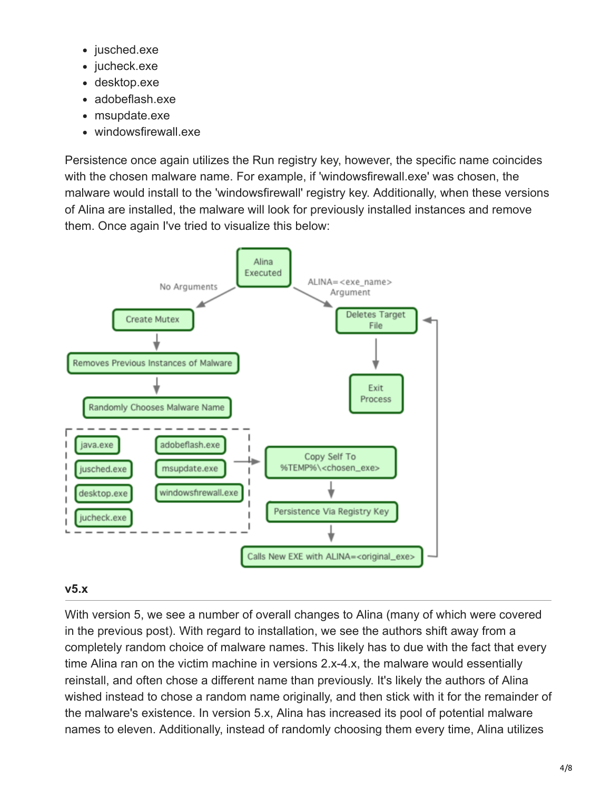- jusched.exe
- jucheck.exe
- desktop.exe
- adobeflash.exe
- msupdate.exe
- windowsfirewall.exe

Persistence once again utilizes the Run registry key, however, the specific name coincides with the chosen malware name. For example, if 'windowsfirewall.exe' was chosen, the malware would install to the 'windowsfirewall' registry key. Additionally, when these versions of Alina are installed, the malware will look for previously installed instances and remove them. Once again I've tried to visualize this below:



#### **v5.x**

With version 5, we see a number of overall changes to Alina (many of which were covered in the previous post). With regard to installation, we see the authors shift away from a completely random choice of malware names. This likely has to due with the fact that every time Alina ran on the victim machine in versions 2.x-4.x, the malware would essentially reinstall, and often chose a different name than previously. It's likely the authors of Alina wished instead to chose a random name originally, and then stick with it for the remainder of the malware's existence. In version 5.x, Alina has increased its pool of potential malware names to eleven. Additionally, instead of randomly choosing them every time, Alina utilizes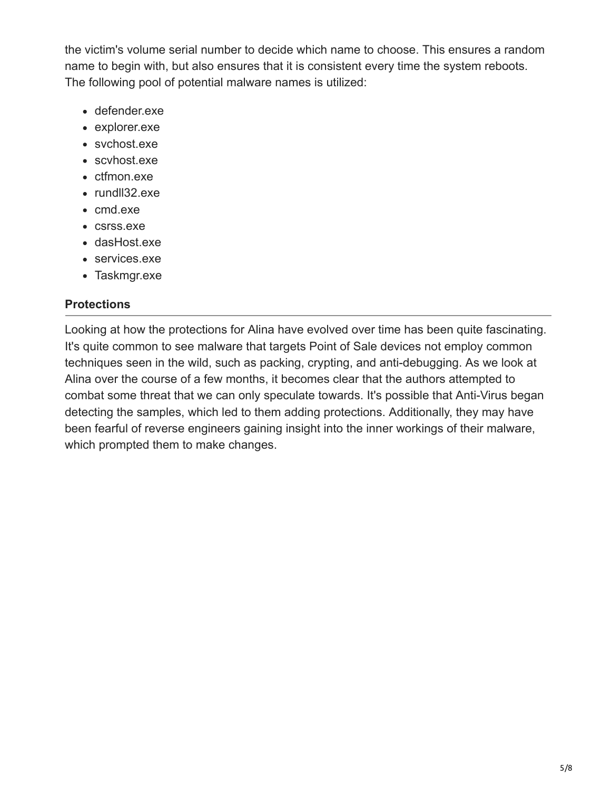the victim's volume serial number to decide which name to choose. This ensures a random name to begin with, but also ensures that it is consistent every time the system reboots. The following pool of potential malware names is utilized:

- defender.exe
- explorer.exe
- svchost.exe
- scvhost.exe
- ctfmon.exe
- rundll32.exe
- cmd.exe
- csrss.exe
- dasHost.exe
- services.exe
- Taskmgr.exe

# **Protections**

Looking at how the protections for Alina have evolved over time has been quite fascinating. It's quite common to see malware that targets Point of Sale devices not employ common techniques seen in the wild, such as packing, crypting, and anti-debugging. As we look at Alina over the course of a few months, it becomes clear that the authors attempted to combat some threat that we can only speculate towards. It's possible that Anti-Virus began detecting the samples, which led to them adding protections. Additionally, they may have been fearful of reverse engineers gaining insight into the inner workings of their malware, which prompted them to make changes.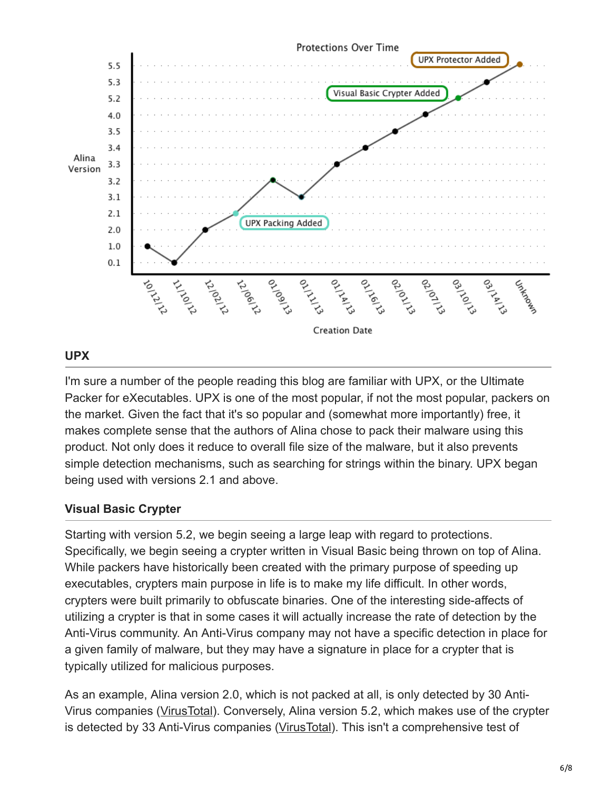

### **UPX**

I'm sure a number of the people reading this blog are familiar with UPX, or the Ultimate Packer for eXecutables. UPX is one of the most popular, if not the most popular, packers on the market. Given the fact that it's so popular and (somewhat more importantly) free, it makes complete sense that the authors of Alina chose to pack their malware using this product. Not only does it reduce to overall file size of the malware, but it also prevents simple detection mechanisms, such as searching for strings within the binary. UPX began being used with versions 2.1 and above.

### **Visual Basic Crypter**

Starting with version 5.2, we begin seeing a large leap with regard to protections. Specifically, we begin seeing a crypter written in Visual Basic being thrown on top of Alina. While packers have historically been created with the primary purpose of speeding up executables, crypters main purpose in life is to make my life difficult. In other words, crypters were built primarily to obfuscate binaries. One of the interesting side-affects of utilizing a crypter is that in some cases it will actually increase the rate of detection by the Anti-Virus community. An Anti-Virus company may not have a specific detection in place for a given family of malware, but they may have a signature in place for a crypter that is typically utilized for malicious purposes.

As an example, Alina version 2.0, which is not packed at all, is only detected by 30 Anti-Virus companies [\(VirusTotal](https://www.virustotal.com/en/file/8782d38bc326d3127dcbd4f6f9a4342a503517cc8504920ac5db4e4dfb16e046/analysis/)). Conversely, Alina version 5.2, which makes use of the crypter is detected by 33 Anti-Virus companies ([VirusTotal](https://www.virustotal.com/en/file/442da19c353f3de27bc096f8cdfdb6e7e76cb24eb7fbffabdaea12a38ed305d2/analysis/)). This isn't a comprehensive test of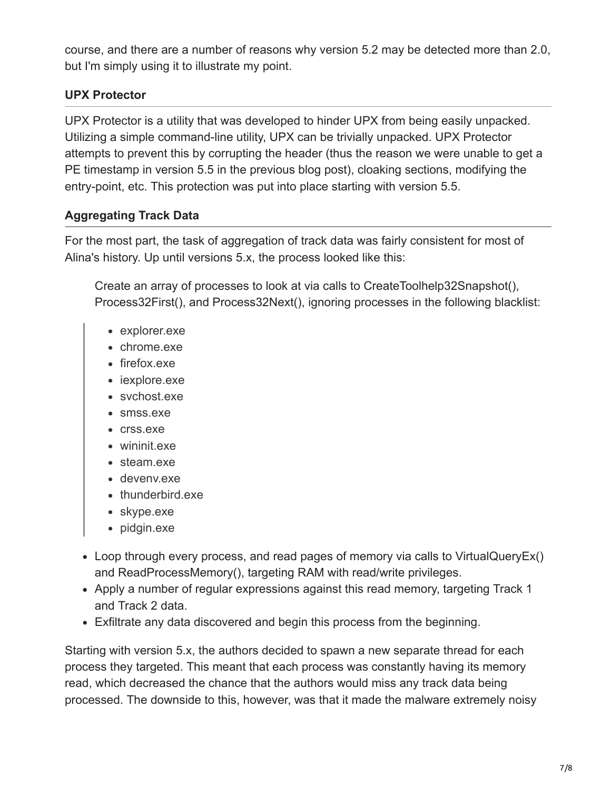course, and there are a number of reasons why version 5.2 may be detected more than 2.0, but I'm simply using it to illustrate my point.

# **UPX Protector**

UPX Protector is a utility that was developed to hinder UPX from being easily unpacked. Utilizing a simple command-line utility, UPX can be trivially unpacked. UPX Protector attempts to prevent this by corrupting the header (thus the reason we were unable to get a PE timestamp in version 5.5 in the previous blog post), cloaking sections, modifying the entry-point, etc. This protection was put into place starting with version 5.5.

# **Aggregating Track Data**

For the most part, the task of aggregation of track data was fairly consistent for most of Alina's history. Up until versions 5.x, the process looked like this:

Create an array of processes to look at via calls to CreateToolhelp32Snapshot(), Process32First(), and Process32Next(), ignoring processes in the following blacklist:

- explorer.exe
- chrome.exe
- firefox.exe
- iexplore.exe
- svchost.exe
- smss.exe
- crss.exe
- wininit.exe
- steam.exe
- devenv.exe
- thunderbird.exe
- skype.exe
- pidgin.exe
- Loop through every process, and read pages of memory via calls to VirtualQueryEx() and ReadProcessMemory(), targeting RAM with read/write privileges.
- Apply a number of regular expressions against this read memory, targeting Track 1 and Track 2 data.
- Exfiltrate any data discovered and begin this process from the beginning.

Starting with version 5.x, the authors decided to spawn a new separate thread for each process they targeted. This meant that each process was constantly having its memory read, which decreased the chance that the authors would miss any track data being processed. The downside to this, however, was that it made the malware extremely noisy